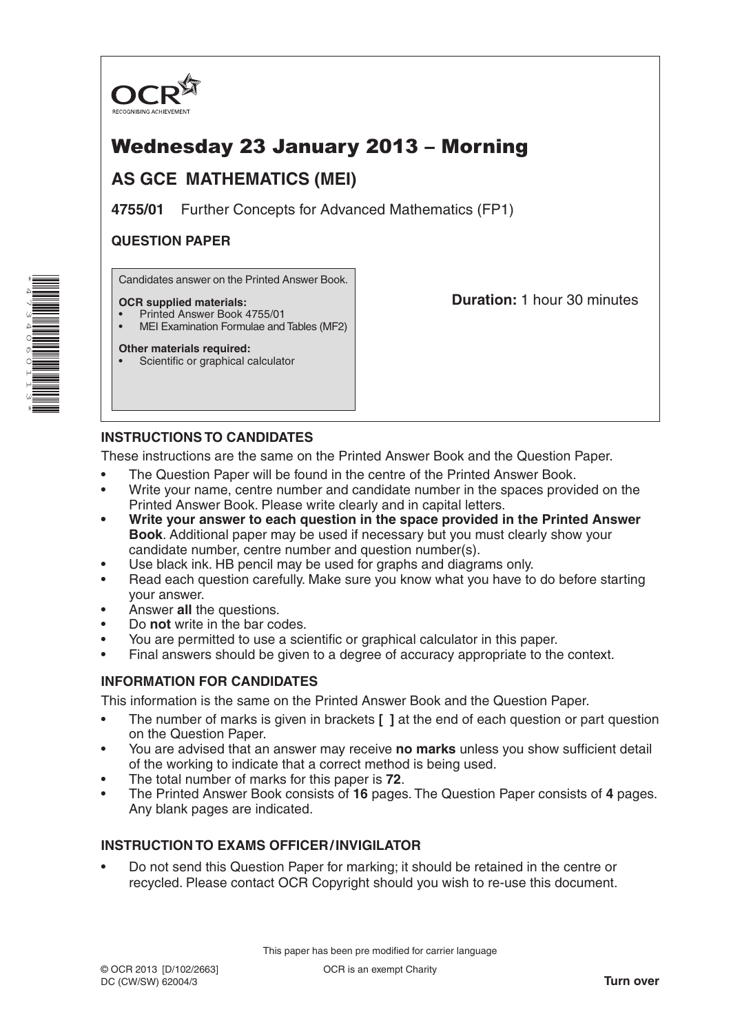

# Wednesday 23 January 2013 – Morning

# **AS GCE MATHEMATICS (MEI)**

**4755/01** Further Concepts for Advanced Mathematics (FP1)

## **QUESTION PAPER**

Candidates answer on the Printed Answer Book.

#### **OCR supplied materials:**

- Printed Answer Book 4755/01
- MEI Examination Formulae and Tables (MF2)

**Duration:** 1 hour 30 minutes

#### **Other materials required:**

Scientific or graphical calculator

## **INSTRUCTIONS TO CANDIDATES**

These instructions are the same on the Printed Answer Book and the Question Paper.

- The Question Paper will be found in the centre of the Printed Answer Book.
- Write your name, centre number and candidate number in the spaces provided on the Printed Answer Book. Please write clearly and in capital letters.
- **• Write your answer to each question in the space provided in the Printed Answer Book**. Additional paper may be used if necessary but you must clearly show your candidate number, centre number and question number(s).
- Use black ink. HB pencil may be used for graphs and diagrams only.
- Read each question carefully. Make sure you know what you have to do before starting your answer.
- Answer **all** the questions.
- Do **not** write in the bar codes.
- You are permitted to use a scientific or graphical calculator in this paper.
- Final answers should be given to a degree of accuracy appropriate to the context.

### **INFORMATION FOR CANDIDATES**

This information is the same on the Printed Answer Book and the Question Paper.

- The number of marks is given in brackets **[ ]** at the end of each question or part question on the Question Paper.
- You are advised that an answer may receive **no marks** unless you show sufficient detail of the working to indicate that a correct method is being used.
- The total number of marks for this paper is **72**.
- The Printed Answer Book consists of **16** pages. The Question Paper consists of **4** pages. Any blank pages are indicated.

# **INSTRUCTION TO EXAMS OFFICER/INVIGILATOR**

• Do not send this Question Paper for marking; it should be retained in the centre or recycled. Please contact OCR Copyright should you wish to re-use this document.

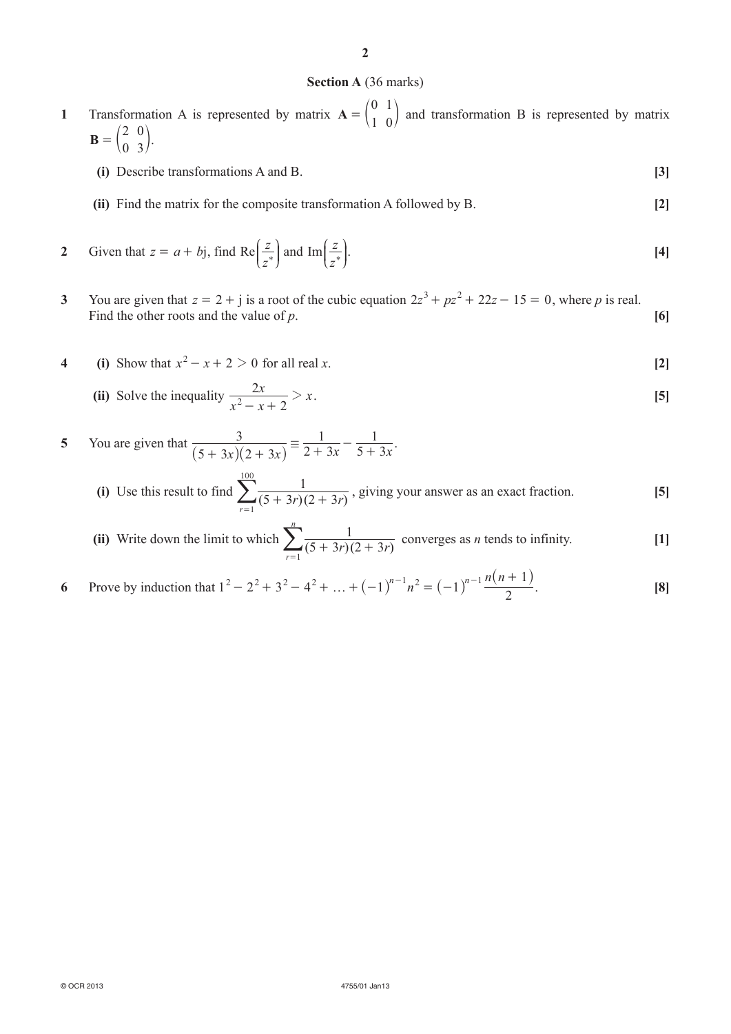#### **Section A** (36 marks)

- **1** Transformation A is represented by matrix  $\mathbf{A} = \begin{pmatrix} 0 \\ 1 \end{pmatrix}$  $= \begin{pmatrix} 0 & 1 \\ 1 & 0 \end{pmatrix}$  and transformation B is represented by matrix  $\mathbf{B} = \begin{pmatrix} 2 \\ 2 \end{pmatrix}$ 0  $= \begin{pmatrix} 2 & 0 \\ 0 & 3 \end{pmatrix}.$ 
	- **(i)** Describe transformations A and B. **[3]**

- **(ii)** Find the matrix for the composite transformation A followed by B. **[2]**
- **2** Given that  $z = a + bj$ , find Re *z z* \*  $\overline{1}$ L  $\left(\frac{z}{z^{*}}\right)$  $\overline{y}$  $\int$  and Im $\frac{2}{z}$ *z* \*  $\overline{1}$ L  $\left(\frac{z}{z^{*}}\right)$  $\overline{y}$  $\left| . \right|$  (4)
- **3** You are given that  $z = 2 + j$  is a root of the cubic equation  $2z^3 + pz^2 + 22z 15 = 0$ , where *p* is real. Find the other roots and the value of *p*. **[6]**
- **4 (i)** Show that  $x^2 x + 2 > 0$  for all real *x*. **[2]**

(ii) Solve the inequality 
$$
\frac{2x}{x^2 - x + 2} > x.
$$
 [5]

5 You are given that  $\frac{3}{(5+3x)(2+3x)} \equiv \frac{1}{2+3x} - \frac{1}{5+3x}$  $2 + 3$ 1  $5 + 3$ 1  $2 + 3$  $\frac{3}{(5+3x)(2+3x)} \equiv \frac{1}{2+3x} - \frac{1}{5+3x}.$ 

(i) Use this result to find 
$$
\sum_{r=1}^{100} \frac{1}{(5+3r)(2+3r)}
$$
, giving your answer as an exact fraction. [5]

(ii) Write down the limit to which 
$$
\sum_{r=1}^{n} \frac{1}{(5+3r)(2+3r)}
$$
 converges as *n* tends to infinity. [1]

**6** Prove by induction that  $1^2 - 2^2 + 3^2 - 4^2 + ... + (-1)^{n-1}n$ *n n*  $1^2 - 2^2 + 3^2 - 4^2 + \dots + (-1)^{n-1} n^2 = (-1)^{n-1} \frac{n(n+1)}{2}$ . **[8]**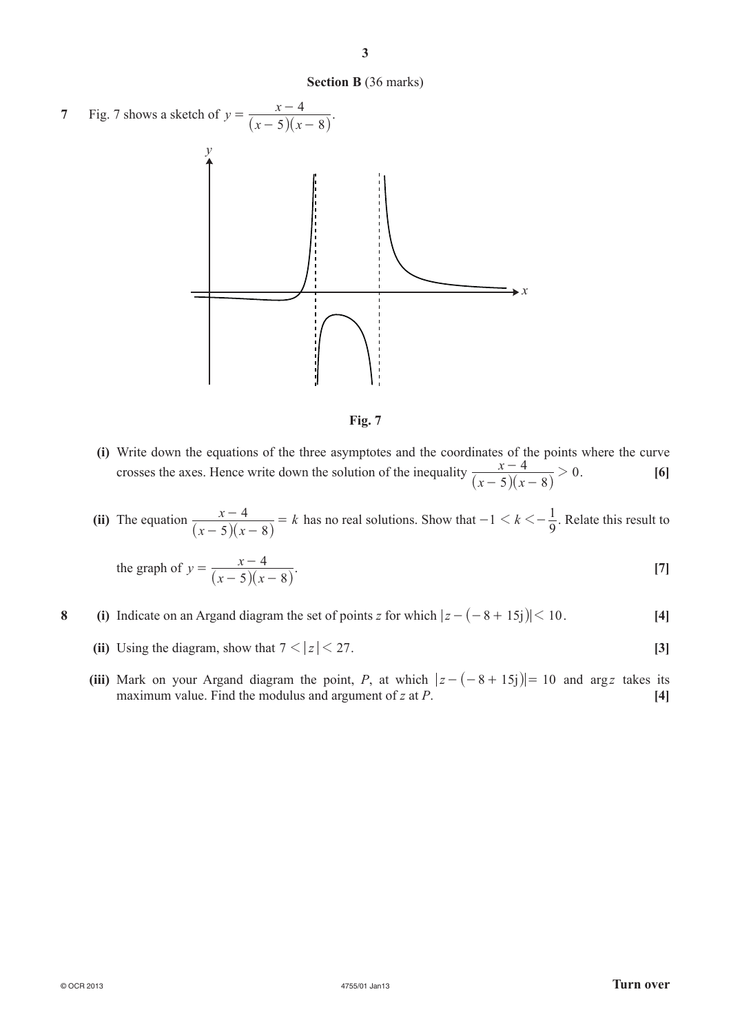



- **(i)** Write down the equations of the three asymptotes and the coordinates of the points where the curve crosses the axes. Hence write down the solution of the inequality *x x* 5 $(x)$  $\frac{4}{\sqrt{2}}$  > 0  $\frac{x-4}{(x-5)(x-8)} > 0.$  [6]
	- **(ii)** The equation  $(x - 5)(x)$  $\frac{x-4}{5}$  = k  $5(x-8)$ 4  $\frac{x-4}{(x-5)(x-8)}$  = k has no real solutions. Show that  $-1 < k < -\frac{1}{9}$ . Relate this result to

the graph of 
$$
y = \frac{x-4}{(x-5)(x-8)}
$$
. [7]

- **8 (i)** Indicate on an Argand diagram the set of points *z* for which  $|z (-8 + 15j)| < 10$ . [4]
	- (ii) Using the diagram, show that  $7 < |z| < 27$ . [3]
	- (iii) Mark on your Argand diagram the point, *P*, at which  $|z (-8 + 15j)| = 10$  and arg *z* takes its maximum value. Find the modulus and argument of *z* at *P*. **[4]**